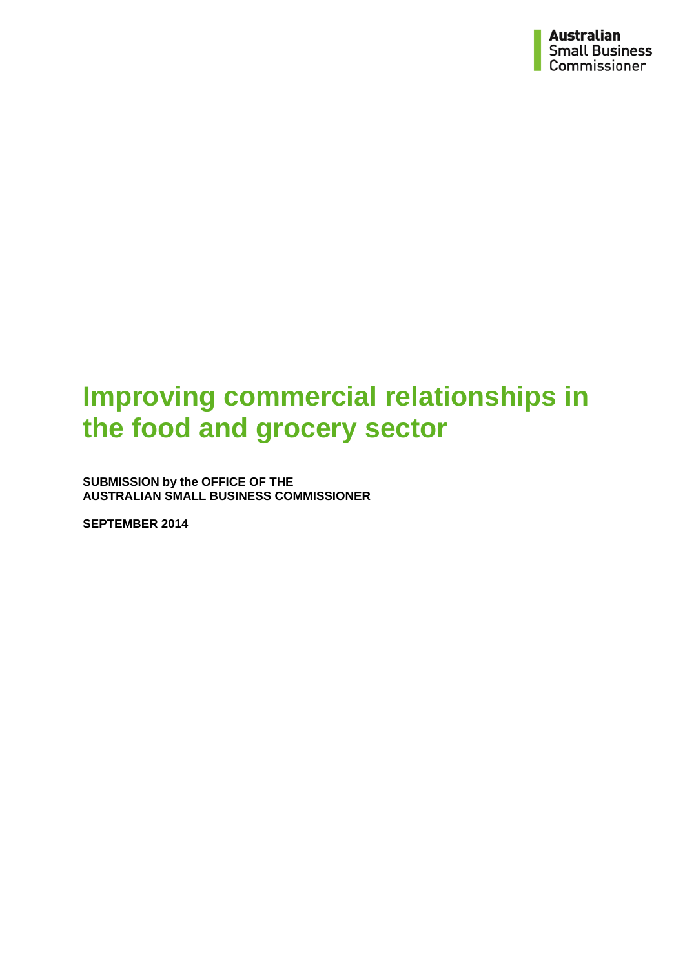# **Improving commercial relationships in the food and grocery sector**

**SUBMISSION by the OFFICE OF THE AUSTRALIAN SMALL BUSINESS COMMISSIONER**

**SEPTEMBER 2014**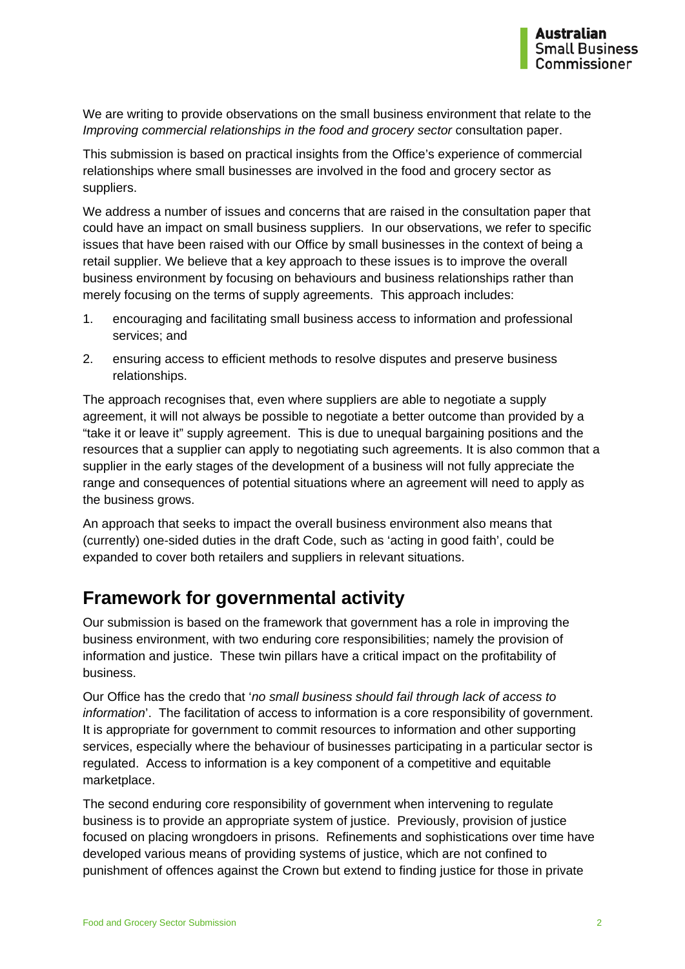We are writing to provide observations on the small business environment that relate to the *Improving commercial relationships in the food and grocery sector* consultation paper.

This submission is based on practical insights from the Office's experience of commercial relationships where small businesses are involved in the food and grocery sector as suppliers.

We address a number of issues and concerns that are raised in the consultation paper that could have an impact on small business suppliers. In our observations, we refer to specific issues that have been raised with our Office by small businesses in the context of being a retail supplier. We believe that a key approach to these issues is to improve the overall business environment by focusing on behaviours and business relationships rather than merely focusing on the terms of supply agreements. This approach includes:

- 1. encouraging and facilitating small business access to information and professional services; and
- 2. ensuring access to efficient methods to resolve disputes and preserve business relationships.

The approach recognises that, even where suppliers are able to negotiate a supply agreement, it will not always be possible to negotiate a better outcome than provided by a "take it or leave it" supply agreement. This is due to unequal bargaining positions and the resources that a supplier can apply to negotiating such agreements. It is also common that a supplier in the early stages of the development of a business will not fully appreciate the range and consequences of potential situations where an agreement will need to apply as the business grows.

An approach that seeks to impact the overall business environment also means that (currently) one-sided duties in the draft Code, such as 'acting in good faith', could be expanded to cover both retailers and suppliers in relevant situations.

#### **Framework for governmental activity**

Our submission is based on the framework that government has a role in improving the business environment, with two enduring core responsibilities; namely the provision of information and justice. These twin pillars have a critical impact on the profitability of business.

Our Office has the credo that '*no small business should fail through lack of access to information*'. The facilitation of access to information is a core responsibility of government. It is appropriate for government to commit resources to information and other supporting services, especially where the behaviour of businesses participating in a particular sector is regulated. Access to information is a key component of a competitive and equitable marketplace.

The second enduring core responsibility of government when intervening to regulate business is to provide an appropriate system of justice. Previously, provision of justice focused on placing wrongdoers in prisons. Refinements and sophistications over time have developed various means of providing systems of justice, which are not confined to punishment of offences against the Crown but extend to finding justice for those in private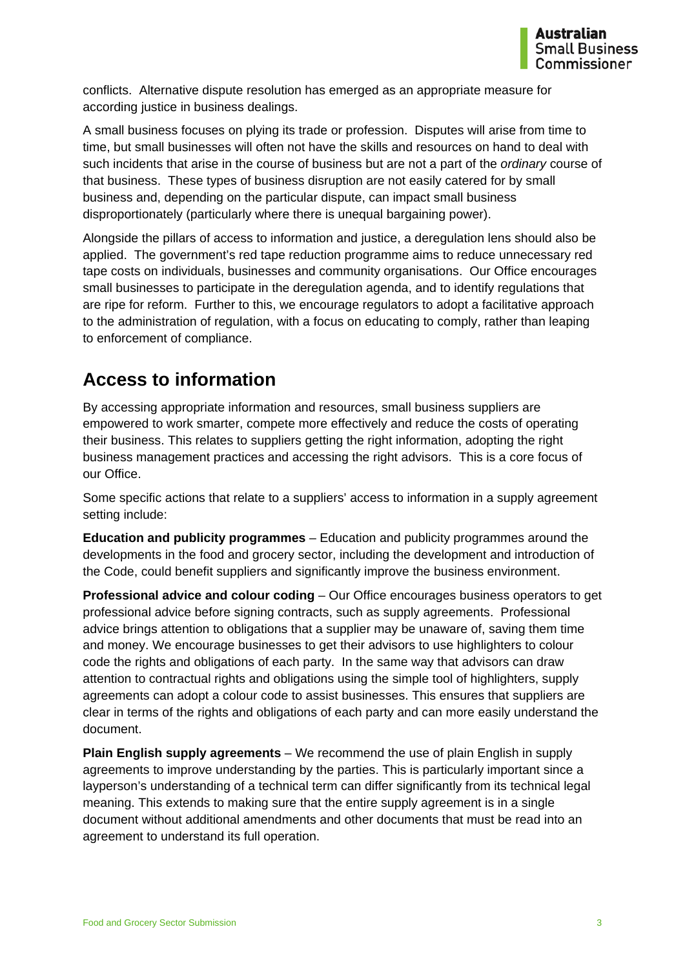conflicts. Alternative dispute resolution has emerged as an appropriate measure for according justice in business dealings.

A small business focuses on plying its trade or profession. Disputes will arise from time to time, but small businesses will often not have the skills and resources on hand to deal with such incidents that arise in the course of business but are not a part of the *ordinary* course of that business. These types of business disruption are not easily catered for by small business and, depending on the particular dispute, can impact small business disproportionately (particularly where there is unequal bargaining power).

Alongside the pillars of access to information and justice, a deregulation lens should also be applied. The government's red tape reduction programme aims to reduce unnecessary red tape costs on individuals, businesses and community organisations. Our Office encourages small businesses to participate in the deregulation agenda, and to identify regulations that are ripe for reform. Further to this, we encourage regulators to adopt a facilitative approach to the administration of regulation, with a focus on educating to comply, rather than leaping to enforcement of compliance.

#### **Access to information**

By accessing appropriate information and resources, small business suppliers are empowered to work smarter, compete more effectively and reduce the costs of operating their business. This relates to suppliers getting the right information, adopting the right business management practices and accessing the right advisors. This is a core focus of our Office.

Some specific actions that relate to a suppliers' access to information in a supply agreement setting include:

**Education and publicity programmes** – Education and publicity programmes around the developments in the food and grocery sector, including the development and introduction of the Code, could benefit suppliers and significantly improve the business environment.

**Professional advice and colour coding** – Our Office encourages business operators to get professional advice before signing contracts, such as supply agreements. Professional advice brings attention to obligations that a supplier may be unaware of, saving them time and money. We encourage businesses to get their advisors to use highlighters to colour code the rights and obligations of each party. In the same way that advisors can draw attention to contractual rights and obligations using the simple tool of highlighters, supply agreements can adopt a colour code to assist businesses. This ensures that suppliers are clear in terms of the rights and obligations of each party and can more easily understand the document.

**Plain English supply agreements** – We recommend the use of plain English in supply agreements to improve understanding by the parties. This is particularly important since a layperson's understanding of a technical term can differ significantly from its technical legal meaning. This extends to making sure that the entire supply agreement is in a single document without additional amendments and other documents that must be read into an agreement to understand its full operation.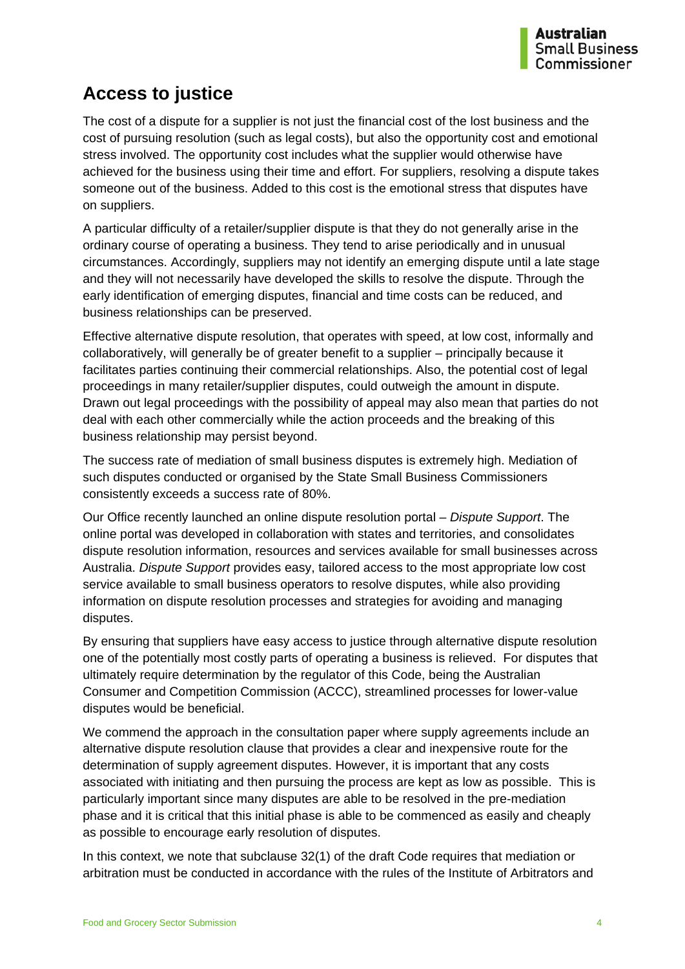### **Access to justice**

The cost of a dispute for a supplier is not just the financial cost of the lost business and the cost of pursuing resolution (such as legal costs), but also the opportunity cost and emotional stress involved. The opportunity cost includes what the supplier would otherwise have achieved for the business using their time and effort. For suppliers, resolving a dispute takes someone out of the business. Added to this cost is the emotional stress that disputes have on suppliers.

A particular difficulty of a retailer/supplier dispute is that they do not generally arise in the ordinary course of operating a business. They tend to arise periodically and in unusual circumstances. Accordingly, suppliers may not identify an emerging dispute until a late stage and they will not necessarily have developed the skills to resolve the dispute. Through the early identification of emerging disputes, financial and time costs can be reduced, and business relationships can be preserved.

Effective alternative dispute resolution, that operates with speed, at low cost, informally and collaboratively, will generally be of greater benefit to a supplier – principally because it facilitates parties continuing their commercial relationships. Also, the potential cost of legal proceedings in many retailer/supplier disputes, could outweigh the amount in dispute. Drawn out legal proceedings with the possibility of appeal may also mean that parties do not deal with each other commercially while the action proceeds and the breaking of this business relationship may persist beyond.

The success rate of mediation of small business disputes is extremely high. Mediation of such disputes conducted or organised by the State Small Business Commissioners consistently exceeds a success rate of 80%.

Our Office recently launched an online dispute resolution portal – *Dispute Support*. The online portal was developed in collaboration with states and territories, and consolidates dispute resolution information, resources and services available for small businesses across Australia. *Dispute Support* provides easy, tailored access to the most appropriate low cost service available to small business operators to resolve disputes, while also providing information on dispute resolution processes and strategies for avoiding and managing disputes.

By ensuring that suppliers have easy access to justice through alternative dispute resolution one of the potentially most costly parts of operating a business is relieved. For disputes that ultimately require determination by the regulator of this Code, being the Australian Consumer and Competition Commission (ACCC), streamlined processes for lower-value disputes would be beneficial.

We commend the approach in the consultation paper where supply agreements include an alternative dispute resolution clause that provides a clear and inexpensive route for the determination of supply agreement disputes. However, it is important that any costs associated with initiating and then pursuing the process are kept as low as possible. This is particularly important since many disputes are able to be resolved in the pre-mediation phase and it is critical that this initial phase is able to be commenced as easily and cheaply as possible to encourage early resolution of disputes.

In this context, we note that subclause 32(1) of the draft Code requires that mediation or arbitration must be conducted in accordance with the rules of the Institute of Arbitrators and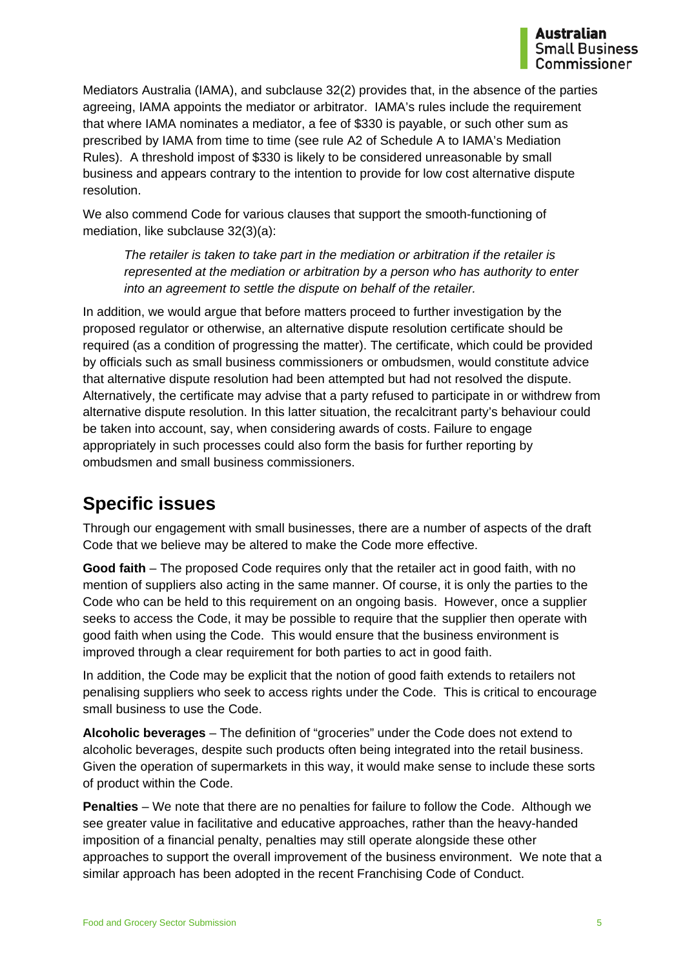Mediators Australia (IAMA), and subclause 32(2) provides that, in the absence of the parties agreeing, IAMA appoints the mediator or arbitrator. IAMA's rules include the requirement that where IAMA nominates a mediator, a fee of \$330 is payable, or such other sum as prescribed by IAMA from time to time (see rule A2 of Schedule A to IAMA's Mediation Rules). A threshold impost of \$330 is likely to be considered unreasonable by small business and appears contrary to the intention to provide for low cost alternative dispute resolution.

We also commend Code for various clauses that support the smooth-functioning of mediation, like subclause 32(3)(a):

*The retailer is taken to take part in the mediation or arbitration if the retailer is represented at the mediation or arbitration by a person who has authority to enter into an agreement to settle the dispute on behalf of the retailer.*

In addition, we would argue that before matters proceed to further investigation by the proposed regulator or otherwise, an alternative dispute resolution certificate should be required (as a condition of progressing the matter). The certificate, which could be provided by officials such as small business commissioners or ombudsmen, would constitute advice that alternative dispute resolution had been attempted but had not resolved the dispute. Alternatively, the certificate may advise that a party refused to participate in or withdrew from alternative dispute resolution. In this latter situation, the recalcitrant party's behaviour could be taken into account, say, when considering awards of costs. Failure to engage appropriately in such processes could also form the basis for further reporting by ombudsmen and small business commissioners.

#### **Specific issues**

Through our engagement with small businesses, there are a number of aspects of the draft Code that we believe may be altered to make the Code more effective.

**Good faith** – The proposed Code requires only that the retailer act in good faith, with no mention of suppliers also acting in the same manner. Of course, it is only the parties to the Code who can be held to this requirement on an ongoing basis. However, once a supplier seeks to access the Code, it may be possible to require that the supplier then operate with good faith when using the Code. This would ensure that the business environment is improved through a clear requirement for both parties to act in good faith.

In addition, the Code may be explicit that the notion of good faith extends to retailers not penalising suppliers who seek to access rights under the Code. This is critical to encourage small business to use the Code.

**Alcoholic beverages** – The definition of "groceries" under the Code does not extend to alcoholic beverages, despite such products often being integrated into the retail business. Given the operation of supermarkets in this way, it would make sense to include these sorts of product within the Code.

**Penalties** – We note that there are no penalties for failure to follow the Code. Although we see greater value in facilitative and educative approaches, rather than the heavy-handed imposition of a financial penalty, penalties may still operate alongside these other approaches to support the overall improvement of the business environment. We note that a similar approach has been adopted in the recent Franchising Code of Conduct.